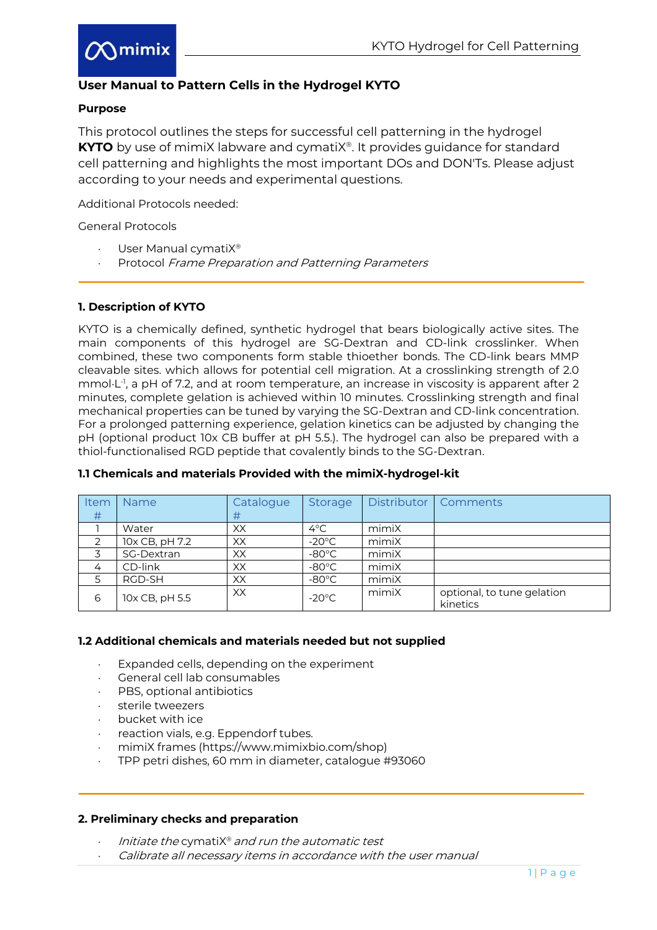

# **User Manual to Pattern Cells in the Hydrogel KYTO**

## **Purpose**

This protocol outlines the steps for successful cell patterning in the hydrogel **KYTO** by use of mimiX labware and cymatiX<sup>®</sup>. It provides guidance for standard cell patterning and highlights the most important DOs and DON'Ts. Please adjust according to your needs and experimental questions.

Additional Protocols needed:

General Protocols

- User Manual cymatiX®
- Protocol Frame Preparation and Patterning Parameters

# **1. Description of KYTO**

KYTO is a chemically defined, synthetic hydrogel that bears biologically active sites. The main components of this hydrogel are SG-Dextran and CD-link crosslinker. When combined, these two components form stable thioether bonds. The CD-link bears MMP cleavable sites. which allows for potential cell migration. At a crosslinking strength of 2.0 mmol·L<sup>-1</sup>, a pH of 7.2, and at room temperature, an increase in viscosity is apparent after 2 minutes, complete gelation is achieved within 10 minutes. Crosslinking strength and final mechanical properties can be tuned by varying the SG-Dextran and CD-link concentration. For a prolonged patterning experience, gelation kinetics can be adjusted by changing the pH (optional product 10x CB buffer at pH 5.5.). The hydrogel can also be prepared with a thiol-functionalised RGD peptide that covalently binds to the SG-Dextran.

| Item<br>#     | <b>Name</b>    | Catalogue<br># | Storage         |       | Distributor   Comments                 |
|---------------|----------------|----------------|-----------------|-------|----------------------------------------|
|               | Water          | XX             | 4°C             | mimiX |                                        |
| $\mathcal{P}$ | 10x CB, pH 7.2 | XX             | $-20^{\circ}$ C | mimiX |                                        |
|               | SG-Dextran     | XX             | $-80^{\circ}$ C | mimiX |                                        |
| 4             | CD-link        | XX             | $-80^{\circ}$ C | mimiX |                                        |
|               | RGD-SH         | XX             | $-80^{\circ}$ C | mimiX |                                        |
| 6             | 10x CB, pH 5.5 | XX             | $-20^{\circ}$ C | mimiX | optional, to tune gelation<br>kinetics |

## **1.1 Chemicals and materials Provided with the mimiX-hydrogel-kit**

### **1.2 Additional chemicals and materials needed but not supplied**

- Expanded cells, depending on the experiment
- × General cell lab consumables
- PBS, optional antibiotics
- sterile tweezers
- bucket with ice
- reaction vials, e.g. Eppendorf tubes.
- × mimiX frames (https://www.mimixbio.com/shop)
- × TPP petri dishes, 60 mm in diameter, catalogue #93060

### **2. Preliminary checks and preparation**

- Initiate the cymati $X^{\circ}$  and run the automatic test
- Calibrate all necessary items in accordance with the user manual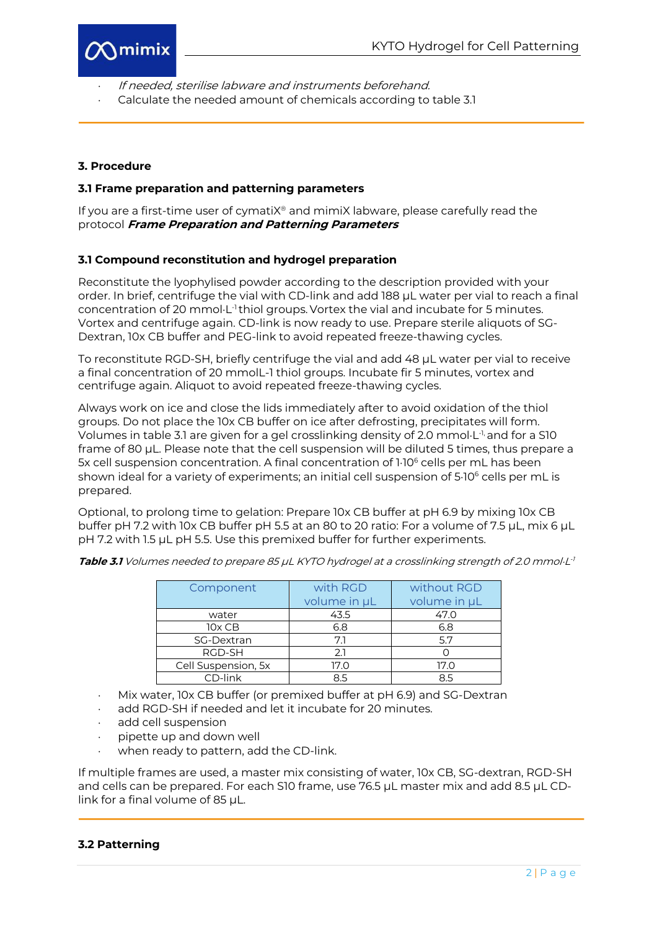

- If needed, sterilise labware and instruments beforehand.
- Calculate the needed amount of chemicals according to table 3.1

## **3. Procedure**

#### **3.1 Frame preparation and patterning parameters**

If you are a first-time user of cymatiX® and mimiX labware, please carefully read the protocol **Frame Preparation and Patterning Parameters**

#### **3.1 Compound reconstitution and hydrogel preparation**

Reconstitute the lyophylised powder according to the description provided with your order. In brief, centrifuge the vial with CD-link and add 188 µL water per vial to reach a final concentration of 20 mmol $\cdot$ L<sup>-1</sup> thiol groups. Vortex the vial and incubate for 5 minutes. Vortex and centrifuge again. CD-link is now ready to use. Prepare sterile aliquots of SG-Dextran, 10x CB buffer and PEG-link to avoid repeated freeze-thawing cycles.

To reconstitute RGD-SH, briefly centrifuge the vial and add 48 µL water per vial to receive a final concentration of 20 mmolL-1 thiol groups. Incubate fir 5 minutes, vortex and centrifuge again. Aliquot to avoid repeated freeze-thawing cycles.

Always work on ice and close the lids immediately after to avoid oxidation of the thiol groups. Do not place the 10x CB buffer on ice after defrosting, precipitates will form. Volumes in table 3.1 are given for a gel crosslinking density of 2.0 mmol $\cdot$ L<sup>-1,</sup> and for a S10 frame of 80 µL. Please note that the cell suspension will be diluted 5 times, thus prepare a 5x cell suspension concentration. A final concentration of 1.10<sup>6</sup> cells per mL has been shown ideal for a variety of experiments; an initial cell suspension of 5 $10^6$  cells per mL is prepared.

Optional, to prolong time to gelation: Prepare 10x CB buffer at pH 6.9 by mixing 10x CB buffer pH 7.2 with 10x CB buffer pH 5.5 at an 80 to 20 ratio: For a volume of 7.5 µL, mix 6 µL pH 7.2 with 1.5 µL pH 5.5. Use this premixed buffer for further experiments.

| Component           | with RGD     | without RGD  |  |  |  |
|---------------------|--------------|--------------|--|--|--|
|                     | volume in µL | volume in µL |  |  |  |
| water               | 43.5         | 47.0         |  |  |  |
| 10x CB              | 6.8          | 6.8          |  |  |  |
| SG-Dextran          | 7.1          | 5.7          |  |  |  |
| RGD-SH              | 2.1          |              |  |  |  |
| Cell Suspension, 5x | 17.0         | 17.0         |  |  |  |
| CD-link             | 8.5          | 8.5          |  |  |  |

Table 3.1 Volumes needed to prepare 85 µL KYTO hydrogel at a crosslinking strength of 2.0 mmol·L<sup>1</sup>

- Mix water, 10x CB buffer (or premixed buffer at pH 6.9) and SG-Dextran
- × add RGD-SH if needed and let it incubate for 20 minutes.
- add cell suspension
- pipette up and down well
- when ready to pattern, add the CD-link.

If multiple frames are used, a master mix consisting of water, 10x CB, SG-dextran, RGD-SH and cells can be prepared. For each S10 frame, use 76.5 µL master mix and add 8.5 µL CDlink for a final volume of 85 µL.

#### **3.2 Patterning**